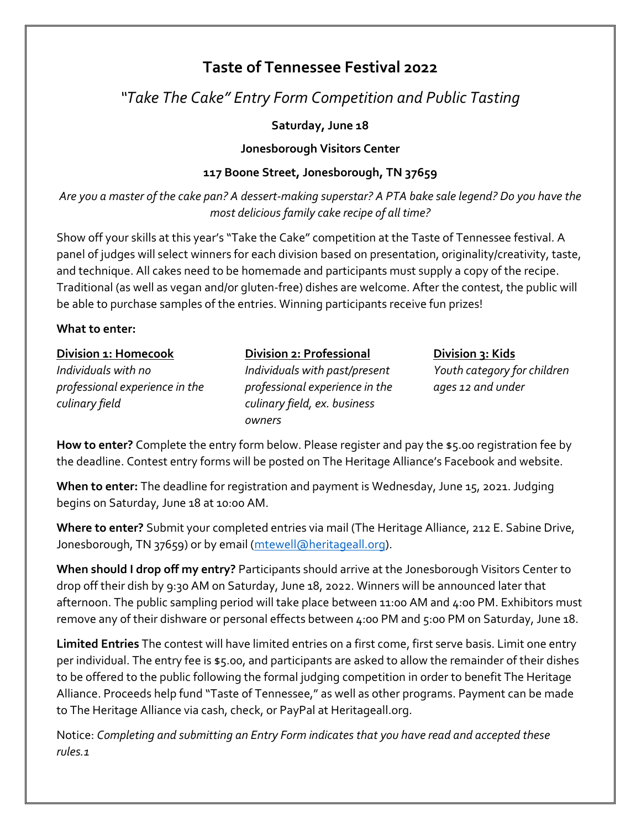# **Taste of Tennessee Festival 2022**

## *"Take The Cake" Entry Form Competition and Public Tasting*

## **Saturday, June 18**

## **Jonesborough Visitors Center**

## **117 Boone Street, Jonesborough, TN 37659**

*Are you a master of the cake pan? A dessert-making superstar? A PTA bake sale legend? Do you have the most delicious family cake recipe of all time?*

Show off your skills at this year's "Take the Cake" competition at the Taste of Tennessee festival. A panel of judges will select winners for each division based on presentation, originality/creativity, taste, and technique. All cakes need to be homemade and participants must supply a copy of the recipe. Traditional (as well as vegan and/or gluten-free) dishes are welcome. After the contest, the public will be able to purchase samples of the entries. Winning participants receive fun prizes!

## **What to enter:**

| Division 1: Homecook           |
|--------------------------------|
| Individuals with no            |
| professional experience in the |
| culinary field                 |

**Division 2: Professional** *Individuals with past/present professional experience in the culinary field, ex. business owners*

**Division 3: Kids** *Youth category for children ages 12 and under*

**How to enter?** Complete the entry form below. Please register and pay the \$5.00 registration fee by the deadline. Contest entry forms will be posted on The Heritage Alliance's Facebook and website.

**When to enter:** The deadline for registration and payment is Wednesday, June 15, 2021. Judging begins on Saturday, June 18 at 10:00 AM.

**Where to enter?** Submit your completed entries via mail (The Heritage Alliance, 212 E. Sabine Drive, Jonesborough, TN 37659) or by email [\(mtewell@heritageall.org\)](mailto:mtewell@heritageall.org).

**When should I drop off my entry?** Participants should arrive at the Jonesborough Visitors Center to drop off their dish by 9:30 AM on Saturday, June 18, 2022. Winners will be announced later that afternoon. The public sampling period will take place between 11:00 AM and 4:00 PM. Exhibitors must remove any of their dishware or personal effects between 4:00 PM and 5:00 PM on Saturday, June 18.

**Limited Entries** The contest will have limited entries on a first come, first serve basis. Limit one entry per individual. The entry fee is \$5.00, and participants are asked to allow the remainder of their dishes to be offered to the public following the formal judging competition in order to benefit The Heritage Alliance. Proceeds help fund "Taste of Tennessee," as well as other programs. Payment can be made to The Heritage Alliance via cash, check, or PayPal at Heritageall.org.

Notice: *Completing and submitting an Entry Form indicates that you have read and accepted these rules.1*